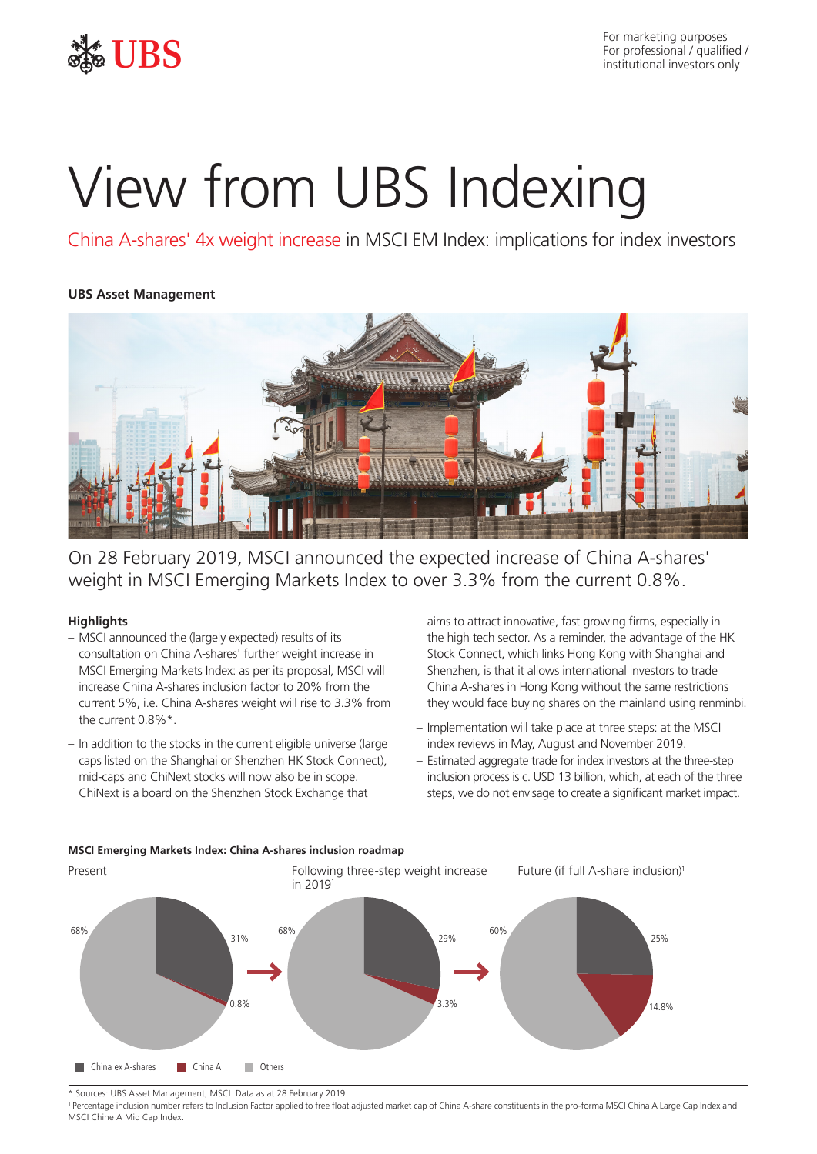

For marketing purposes For professional / qualified / institutional investors only

# View from UBS Indexing

China A-shares' 4x weight increase in MSCI EM Index: implications for index investors

# **UBS Asset Management**



On 28 February 2019, MSCI announced the expected increase of China A-shares' weight in MSCI Emerging Markets Index to over 3.3% from the current 0.8%.

## **Highlights**

- MSCI announced the (largely expected) results of its consultation on China A-shares' further weight increase in MSCI Emerging Markets Index: as per its proposal, MSCI will increase China A-shares inclusion factor to 20% from the current 5%, i.e. China A-shares weight will rise to 3.3% from the current 0.8%\*.
- In addition to the stocks in the current eligible universe (large caps listed on the Shanghai or Shenzhen HK Stock Connect), mid-caps and ChiNext stocks will now also be in scope. ChiNext is a board on the Shenzhen Stock Exchange that

aims to attract innovative, fast growing firms, especially in the high tech sector. As a reminder, the advantage of the HK Stock Connect, which links Hong Kong with Shanghai and Shenzhen, is that it allows international investors to trade China A-shares in Hong Kong without the same restrictions they would face buying shares on the mainland using renminbi.

- Implementation will take place at three steps: at the MSCI index reviews in May, August and November 2019.
- Estimated aggregate trade for index investors at the three-step inclusion process is c. USD 13 billion, which, at each of the three steps, we do not envisage to create a significant market impact.



**MSCI Emerging Markets Index: China A-shares inclusion roadmap**

\* Sources: UBS Asset Management, MSCI. Data as at 28 February 2019.

<sup>1</sup>Percentage inclusion number refers to Inclusion Factor applied to free float adjusted market cap of China A-share constituents in the pro-forma MSCI China A Large Cap Index and MSCI Chine A Mid Cap Index.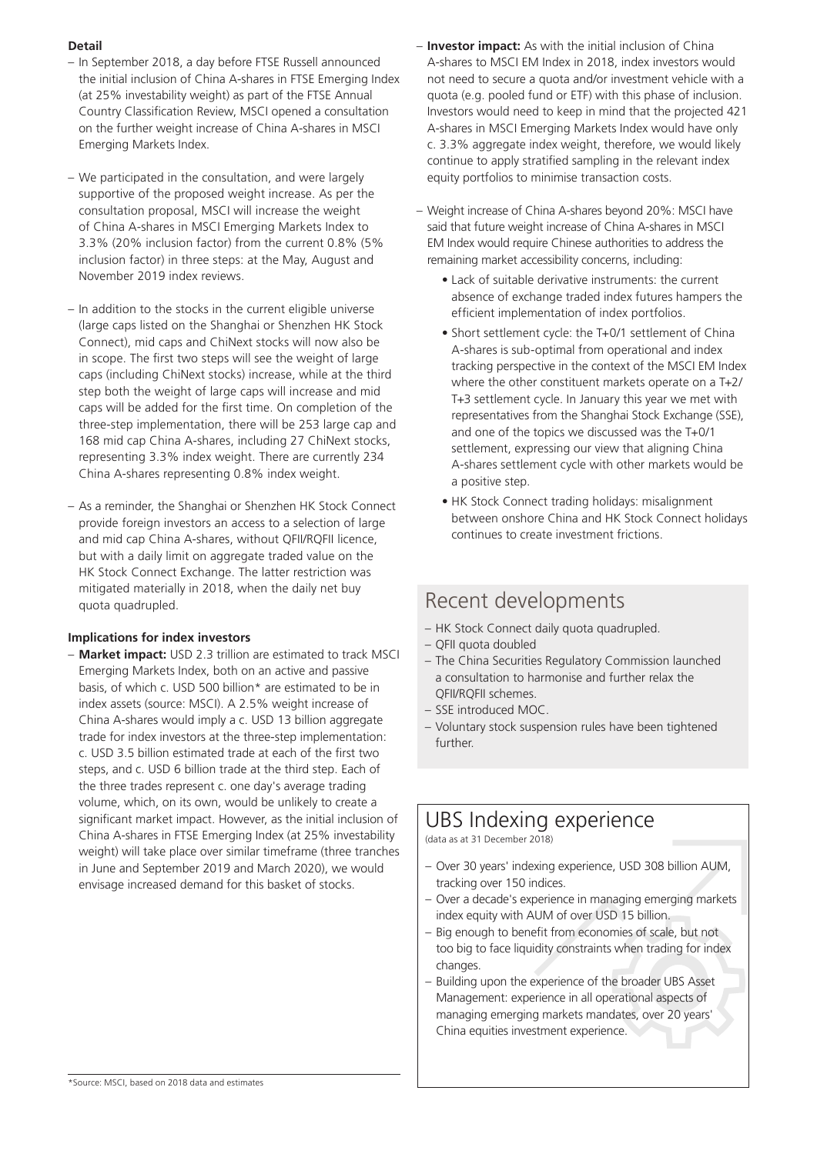# **Detail**

- In September 2018, a day before FTSE Russell announced the initial inclusion of China A-shares in FTSE Emerging Index (at 25% investability weight) as part of the FTSE Annual Country Classification Review, MSCI opened a consultation on the further weight increase of China A-shares in MSCI Emerging Markets Index.
- We participated in the consultation, and were largely supportive of the proposed weight increase. As per the consultation proposal, MSCI will increase the weight of China A-shares in MSCI Emerging Markets Index to 3.3% (20% inclusion factor) from the current 0.8% (5% inclusion factor) in three steps: at the May, August and November 2019 index reviews.
- In addition to the stocks in the current eligible universe (large caps listed on the Shanghai or Shenzhen HK Stock Connect), mid caps and ChiNext stocks will now also be in scope. The first two steps will see the weight of large caps (including ChiNext stocks) increase, while at the third step both the weight of large caps will increase and mid caps will be added for the first time. On completion of the three-step implementation, there will be 253 large cap and 168 mid cap China A-shares, including 27 ChiNext stocks, representing 3.3% index weight. There are currently 234 China A-shares representing 0.8% index weight.
- As a reminder, the Shanghai or Shenzhen HK Stock Connect provide foreign investors an access to a selection of large and mid cap China A-shares, without QFII/RQFII licence, but with a daily limit on aggregate traded value on the HK Stock Connect Exchange. The latter restriction was mitigated materially in 2018, when the daily net buy quota quadrupled.

## **Implications for index investors**

– **Market impact:** USD 2.3 trillion are estimated to track MSCI Emerging Markets Index, both on an active and passive basis, of which c. USD 500 billion\* are estimated to be in index assets (source: MSCI). A 2.5% weight increase of China A-shares would imply a c. USD 13 billion aggregate trade for index investors at the three-step implementation: c. USD 3.5 billion estimated trade at each of the first two steps, and c. USD 6 billion trade at the third step. Each of the three trades represent c. one day's average trading volume, which, on its own, would be unlikely to create a significant market impact. However, as the initial inclusion of China A-shares in FTSE Emerging Index (at 25% investability weight) will take place over similar timeframe (three tranches in June and September 2019 and March 2020), we would envisage increased demand for this basket of stocks.

- **Investor impact:** As with the initial inclusion of China A-shares to MSCI EM Index in 2018, index investors would not need to secure a quota and/or investment vehicle with a quota (e.g. pooled fund or ETF) with this phase of inclusion. Investors would need to keep in mind that the projected 421 A-shares in MSCI Emerging Markets Index would have only c. 3.3% aggregate index weight, therefore, we would likely continue to apply stratified sampling in the relevant index equity portfolios to minimise transaction costs.
- Weight increase of China A-shares beyond 20%: MSCI have said that future weight increase of China A-shares in MSCI EM Index would require Chinese authorities to address the remaining market accessibility concerns, including:
	- Lack of suitable derivative instruments: the current absence of exchange traded index futures hampers the efficient implementation of index portfolios.
	- Short settlement cycle: the T+0/1 settlement of China A-shares is sub-optimal from operational and index tracking perspective in the context of the MSCI EM Index where the other constituent markets operate on a T+2/ T+3 settlement cycle. In January this year we met with representatives from the Shanghai Stock Exchange (SSE), and one of the topics we discussed was the T+0/1 settlement, expressing our view that aligning China A-shares settlement cycle with other markets would be a positive step.
	- HK Stock Connect trading holidays: misalignment between onshore China and HK Stock Connect holidays continues to create investment frictions.

# Recent developments

- HK Stock Connect daily quota quadrupled.
- QFII quota doubled
- The China Securities Regulatory Commission launched a consultation to harmonise and further relax the QFII/RQFII schemes.
- SSE introduced MOC.
- Voluntary stock suspension rules have been tightened further.

# UBS Indexing experience

(data as at 31 December 2018)

- Over 30 years' indexing experience, USD 308 billion AUM, tracking over 150 indices.
- Over a decade's experience in managing emerging markets index equity with AUM of over USD 15 billion.
- Big enough to benefit from economies of scale, but not too big to face liquidity constraints when trading for index changes.
- Building upon the experience of the broader UBS Asset Management: experience in all operational aspects of managing emerging markets mandates, over 20 years' China equities investment experience.